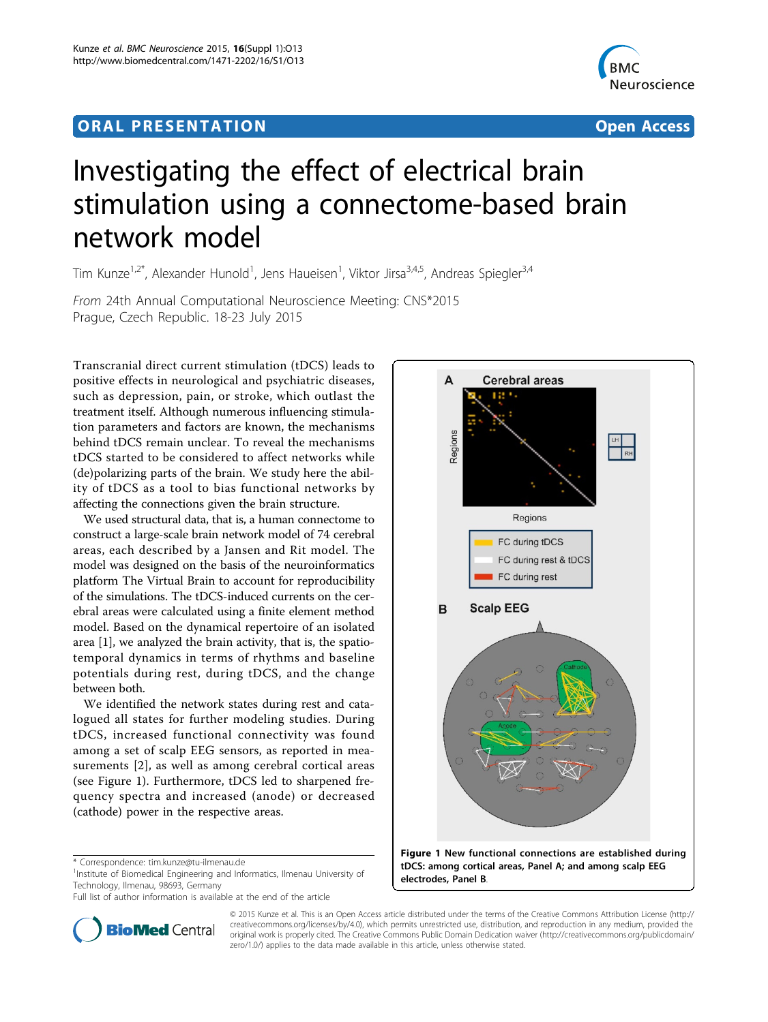## ORA L PR E S EN TA TION OPEN ACCESS OF THE SERVICE OF THE SERVICE OF THE SERVICE OF THE SERVICE OF THE SERVICE



# Investigating the effect of electrical brain stimulation using a connectome-based brain network model

Tim Kunze<sup>1,2\*</sup>, Alexander Hunold<sup>1</sup>, Jens Haueisen<sup>1</sup>, Viktor Jirsa<sup>3,4,5</sup>, Andreas Spiegler<sup>3,4</sup>

From 24th Annual Computational Neuroscience Meeting: CNS\*2015 Prague, Czech Republic. 18-23 July 2015

Transcranial direct current stimulation (tDCS) leads to positive effects in neurological and psychiatric diseases, such as depression, pain, or stroke, which outlast the treatment itself. Although numerous influencing stimulation parameters and factors are known, the mechanisms behind tDCS remain unclear. To reveal the mechanisms tDCS started to be considered to affect networks while (de)polarizing parts of the brain. We study here the ability of tDCS as a tool to bias functional networks by affecting the connections given the brain structure.

We used structural data, that is, a human connectome to construct a large-scale brain network model of 74 cerebral areas, each described by a Jansen and Rit model. The model was designed on the basis of the neuroinformatics platform The Virtual Brain to account for reproducibility of the simulations. The tDCS-induced currents on the cerebral areas were calculated using a finite element method model. Based on the dynamical repertoire of an isolated area [\[1](#page-1-0)], we analyzed the brain activity, that is, the spatiotemporal dynamics in terms of rhythms and baseline potentials during rest, during tDCS, and the change between both.

We identified the network states during rest and catalogued all states for further modeling studies. During tDCS, increased functional connectivity was found among a set of scalp EEG sensors, as reported in measurements [[2\]](#page-1-0), as well as among cerebral cortical areas (see Figure 1). Furthermore, tDCS led to sharpened frequency spectra and increased (anode) or decreased (cathode) power in the respective areas.

<sup>1</sup>Institute of Biomedical Engineering and Informatics, Ilmenau University of Technology, Ilmenau, 98693, Germany



© 2015 Kunze et al. This is an Open Access article distributed under the terms of the Creative Commons Attribution License [\(http://](http://creativecommons.org/licenses/by/4.0) [creativecommons.org/licenses/by/4.0](http://creativecommons.org/licenses/by/4.0)), which permits unrestricted use, distribution, and reproduction in any medium, provided the **BioMed** Central original work is properly cited. The Creative Commons Public Domain Dedication waiver ([http://creativecommons.org/publicdomain/](http://creativecommons.org/publicdomain/zero/1.0/) [zero/1.0/](http://creativecommons.org/publicdomain/zero/1.0/)) applies to the data made available in this article, unless otherwise stated.

<sup>\*</sup> Correspondence: [tim.kunze@tu-ilmenau.de](mailto:tim.kunze@tu-ilmenau.de)

Full list of author information is available at the end of the article